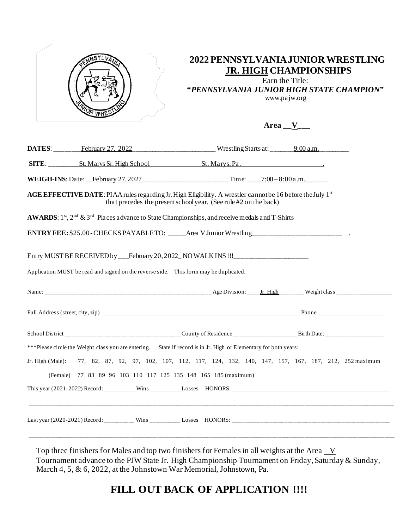

## **2022 PENNSYLVANIA JUNIOR WRESTLING JR. HIGH CHAMPIONSHIPS**

Earn the Title:

**"***PENNSYLVANIA JUNIOR HIGH STATE CHAMPION***"** www.pajw.org

**Area \_\_V\_\_\_** 

|                                                                                       | DATES: February 27, 2022 Wrestling Starts at: 9:00 a.m.                                                                                                                               |                                                                                                              |
|---------------------------------------------------------------------------------------|---------------------------------------------------------------------------------------------------------------------------------------------------------------------------------------|--------------------------------------------------------------------------------------------------------------|
|                                                                                       |                                                                                                                                                                                       |                                                                                                              |
|                                                                                       |                                                                                                                                                                                       |                                                                                                              |
|                                                                                       | <b>AGE EFFECTIVE DATE:</b> PIAA rules regarding Jr. High Eligibility. A wrestler cannot be 16 before the July 1st<br>that precedes the present school year. (See rule #2 on the back) |                                                                                                              |
|                                                                                       | AWARDS: 1st, 2 <sup>nd</sup> & 3 <sup>rd</sup> Places advance to State Championships, and receive medals and T-Shirts                                                                 |                                                                                                              |
|                                                                                       | ENTRY FEE: \$25.00-CHECKS PAYABLETO: ____Area V Junior Wrestling _________________                                                                                                    |                                                                                                              |
| Application MUST be read and signed on the reverse side. This form may be duplicated. | Entry MUST BE RECEIVED by ___ February 20, 2022 NO WALK INS !!! ________________                                                                                                      |                                                                                                              |
|                                                                                       |                                                                                                                                                                                       |                                                                                                              |
|                                                                                       |                                                                                                                                                                                       |                                                                                                              |
|                                                                                       |                                                                                                                                                                                       |                                                                                                              |
|                                                                                       | ***Please circle the Weight class you are entering. State if record is in Jr. High or Elementary for both years:                                                                      |                                                                                                              |
|                                                                                       |                                                                                                                                                                                       | Jr. High (Male): 77, 82, 87, 92, 97, 102, 107, 112, 117, 124, 132, 140, 147, 157, 167, 187, 212, 252 maximum |
| (Female) 77 83 89 96 103 110 117 125 135 148 165 185 (maximum)                        |                                                                                                                                                                                       |                                                                                                              |
|                                                                                       |                                                                                                                                                                                       | <u> 1999 - Johann John Stone, Amerikaansk politiker († 1908)</u>                                             |

Top three finishers for Males and top two finishers for Females in all weights at the Area  $V$ Tournament advance to the PJW State Jr. High Championship Tournament on Friday, Saturday & Sunday, March 4, 5, & 6, 2022, at the Johnstown War Memorial, Johnstown, Pa.

## FILL OUT BACK OF APPLICATION !!!!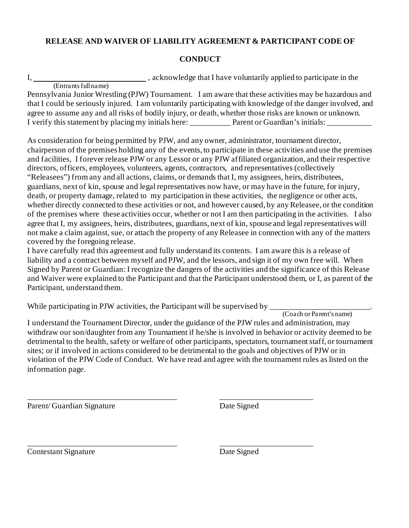## **RELEASE AND WAIVER OF LIABILITY AGREEMENT & PARTICIPANT CODE OF**

## **CONDUCT**

I, , acknowledge that I have voluntarily applied to participate in the

(Entrants full name)

Pennsylvania Junior Wrestling (PJW) Tournament. I am aware that these activities may be hazardous and that I could be seriously injured. I am voluntarily participating with knowledge of the danger involved, and agree to assume any and all risks of bodily injury, or death, whether those risks are known or unknown. I verify this statement by placing my initials here: Parent or Guardian's initials:

As consideration for being permitted by PJW, and any owner, administrator, tournament director, chairperson of the premises holding any of the events, to participate in these activities and use the premises and facilities, I forever release PJW or any Lessor or any PJW affiliated organization, and their respective directors, officers, employees, volunteers, agents, contractors, and representatives (collectively "Releasees") from any and all actions, claims, or demands that I, my assignees, heirs, distributees, guardians, next of kin, spouse and legal representatives now have, or may have in the future, for injury, death, or property damage, related to my participation in these activities, the negligence or other acts, whether directly connected to these activities or not, and however caused, by any Releasee, or the condition of the premises where these activities occur, whether or not I am then participating in the activities. I also agree that I, my assignees, heirs, distributees, guardians, next of kin, spouse and legal representatives will not make a claim against, sue, or attach the property of any Releasee in connection with any of the matters covered by the foregoing release.

I have carefully read this agreement and fully understand its contents. I am aware this is a release of liability and a contract between myself and PJW, and the lessors, and sign it of my own free will. When Signed by Parent or Guardian: I recognize the dangers of the activities and the significance of this Release and Waiver were explained to the Participant and that the Participant understood them, or I, as parent of the Participant, understand them.

While participating in PJW activities, the Participant will be supervised by  $\frac{1}{\text{Coach or Parent's name}}$ 

\_\_\_\_\_\_\_\_\_\_\_\_\_\_\_\_\_\_\_\_\_\_\_\_\_\_\_\_\_\_\_\_\_\_\_\_\_ \_\_\_\_\_\_\_\_\_\_\_\_\_\_\_\_\_\_\_\_\_\_\_

I understand the Tournament Director, under the guidance of the PJW rules and administration, may withdraw our son/daughter from any Tournament if he/she is involved in behavior or activity deemed to be detrimental to the health, safety or welfare of other participants, spectators, tournament staff, or tournament sites; or if involved in actions considered to be detrimental to the goals and objectives of PJW or in violation of the PJW Code of Conduct. We have read and agree with the tournament rules as listed on the information page.

Parent/ Guardian Signature Date Signed

**Contestant Signature** Date Signed

\_\_\_\_\_\_\_\_\_\_\_\_\_\_\_\_\_\_\_\_\_\_\_\_\_\_\_\_\_\_\_\_\_\_\_\_\_ \_\_\_\_\_\_\_\_\_\_\_\_\_\_\_\_\_\_\_\_\_\_\_